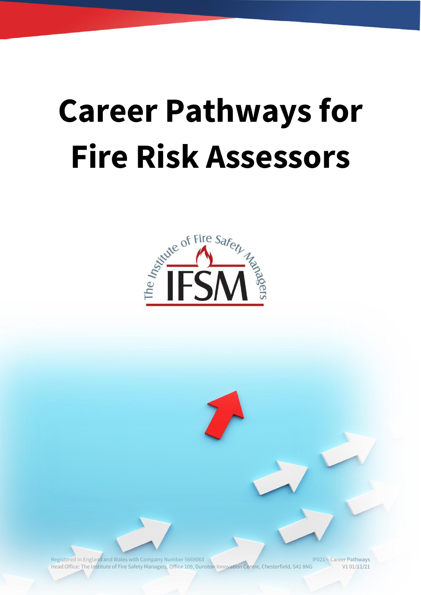# **Career Pathways for Fire Risk Assessors**



Registered in England and Wales with Company Number 5669063 IF021 – Career Pathways Head Office: The Institute of Fire Safety Managers, Office 109, Dunston Innovation Centre, Chesterfield, S41 8NG V1 01/11/21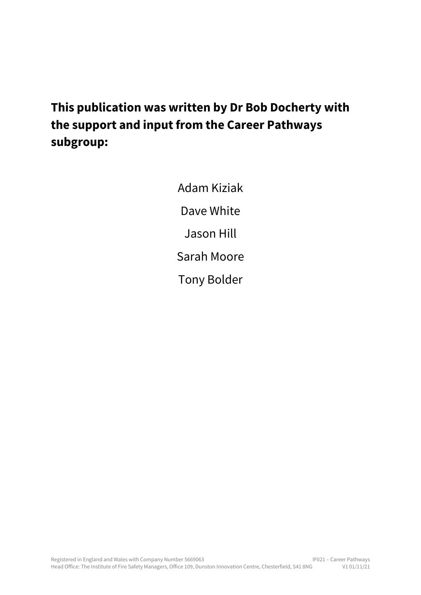## **This publication was written by Dr Bob Docherty with the support and input from the Career Pathways subgroup:**

Adam Kiziak Dave White Jason Hill Sarah Moore Tony Bolder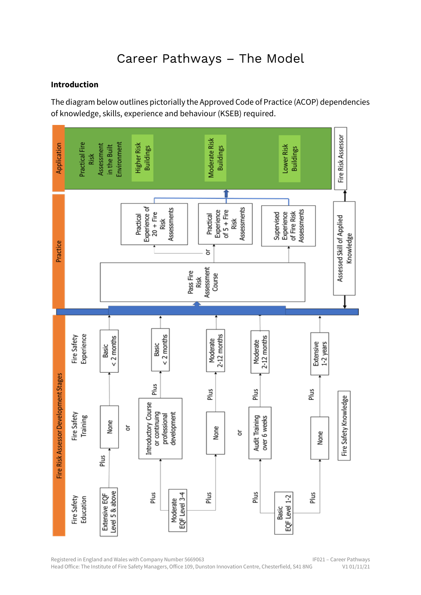### Career Pathways – The Model

#### **Introduction**

The diagram below outlines pictorially the Approved Code of Practice (ACOP) dependencies of knowledge, skills, experience and behaviour (KSEB) required.

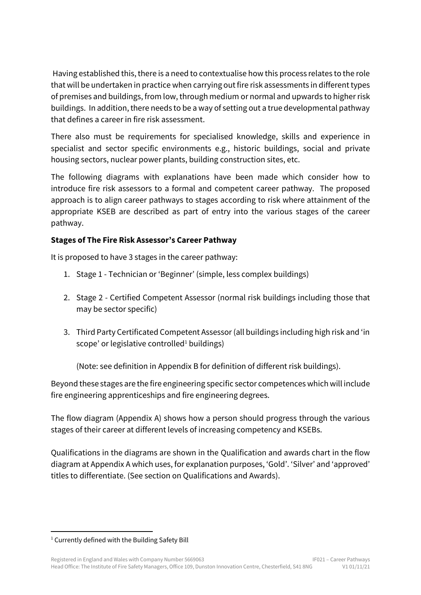Having established this, there is a need to contextualise how this process relates to the role that will be undertaken in practice when carrying out fire risk assessments in different types of premises and buildings, from low, through medium or normal and upwards to higher risk buildings. In addition, there needs to be a way of setting out a true developmental pathway that defines a career in fire risk assessment.

There also must be requirements for specialised knowledge, skills and experience in specialist and sector specific environments e.g., historic buildings, social and private housing sectors, nuclear power plants, building construction sites, etc.

The following diagrams with explanations have been made which consider how to introduce fire risk assessors to a formal and competent career pathway. The proposed approach is to align career pathways to stages according to risk where attainment of the appropriate KSEB are described as part of entry into the various stages of the career pathway.

#### **Stages of The Fire Risk Assessor's Career Pathway**

It is proposed to have 3 stages in the career pathway:

- 1. Stage 1 Technician or 'Beginner' (simple, less complex buildings)
- 2. Stage 2 Certified Competent Assessor (normal risk buildings including those that may be sector specific)
- 3. Third Party Certificated Competent Assessor (all buildings including high risk and 'in scope' or legislative controlled<sup>1</sup> buildings)

(Note: see definition in Appendix B for definition of different risk buildings).

Beyond these stages are the fire engineering specific sector competences which will include fire engineering apprenticeships and fire engineering degrees.

The flow diagram (Appendix A) shows how a person should progress through the various stages of their career at different levels of increasing competency and KSEBs.

Qualifications in the diagrams are shown in the Qualification and awards chart in the flow diagram at Appendix A which uses, for explanation purposes, 'Gold'. 'Silver' and 'approved' titles to differentiate. (See section on Qualifications and Awards).

<sup>&</sup>lt;sup>1</sup> Currently defined with the Building Safety Bill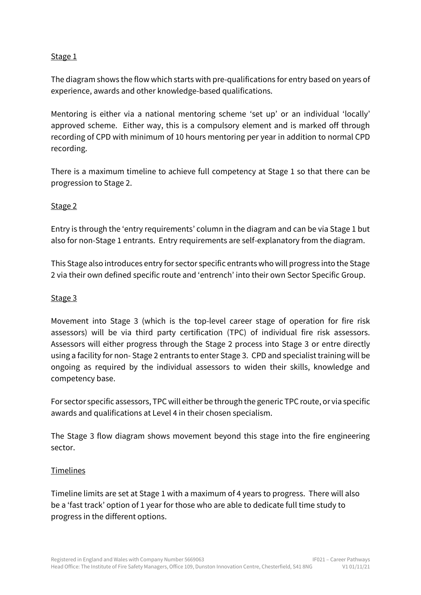#### Stage 1

The diagram shows the flow which starts with pre-qualifications for entry based on years of experience, awards and other knowledge-based qualifications.

Mentoring is either via a national mentoring scheme 'set up' or an individual 'locally' approved scheme. Either way, this is a compulsory element and is marked off through recording of CPD with minimum of 10 hours mentoring per year in addition to normal CPD recording.

There is a maximum timeline to achieve full competency at Stage 1 so that there can be progression to Stage 2.

#### Stage 2

Entry is through the 'entry requirements' column in the diagram and can be via Stage 1 but also for non-Stage 1 entrants. Entry requirements are self-explanatory from the diagram.

This Stage also introduces entry for sector specific entrants who will progress into the Stage 2 via their own defined specific route and 'entrench' into their own Sector Specific Group.

#### Stage 3

Movement into Stage 3 (which is the top-level career stage of operation for fire risk assessors) will be via third party certification (TPC) of individual fire risk assessors. Assessors will either progress through the Stage 2 process into Stage 3 or entre directly using a facility for non- Stage 2 entrants to enter Stage 3. CPD and specialist training will be ongoing as required by the individual assessors to widen their skills, knowledge and competency base.

For sector specific assessors, TPC will either be through the generic TPC route, or via specific awards and qualifications at Level 4 in their chosen specialism.

The Stage 3 flow diagram shows movement beyond this stage into the fire engineering sector.

#### Timelines

Timeline limits are set at Stage 1 with a maximum of 4 years to progress. There will also be a 'fast track' option of 1 year for those who are able to dedicate full time study to progress in the different options.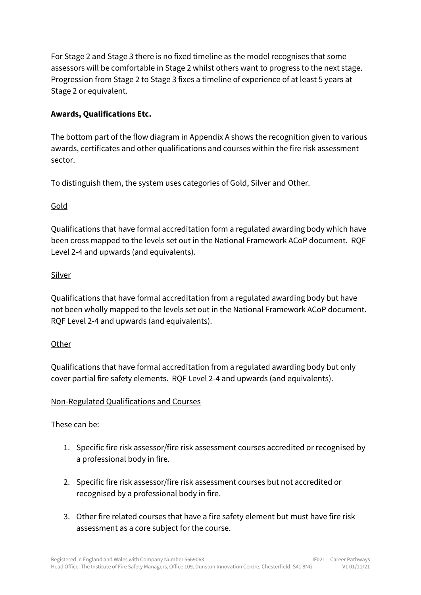For Stage 2 and Stage 3 there is no fixed timeline as the model recognises that some assessors will be comfortable in Stage 2 whilst others want to progress to the next stage. Progression from Stage 2 to Stage 3 fixes a timeline of experience of at least 5 years at Stage 2 or equivalent.

#### **Awards, Qualifications Etc.**

The bottom part of the flow diagram in Appendix A shows the recognition given to various awards, certificates and other qualifications and courses within the fire risk assessment sector.

To distinguish them, the system uses categories of Gold, Silver and Other.

#### Gold

Qualifications that have formal accreditation form a regulated awarding body which have been cross mapped to the levels set out in the National Framework ACoP document. RQF Level 2-4 and upwards (and equivalents).

#### Silver

Qualifications that have formal accreditation from a regulated awarding body but have not been wholly mapped to the levels set out in the National Framework ACoP document. RQF Level 2-4 and upwards (and equivalents).

#### **Other**

Qualifications that have formal accreditation from a regulated awarding body but only cover partial fire safety elements. RQF Level 2-4 and upwards (and equivalents).

#### Non-Regulated Qualifications and Courses

These can be:

- 1. Specific fire risk assessor/fire risk assessment courses accredited or recognised by a professional body in fire.
- 2. Specific fire risk assessor/fire risk assessment courses but not accredited or recognised by a professional body in fire.
- 3. Other fire related courses that have a fire safety element but must have fire risk assessment as a core subject for the course.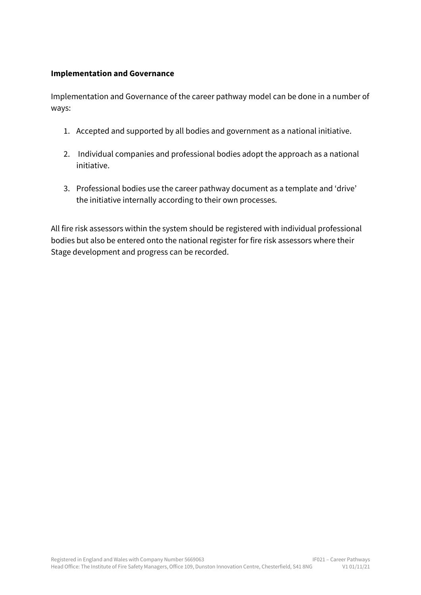#### **Implementation and Governance**

Implementation and Governance of the career pathway model can be done in a number of ways:

- 1. Accepted and supported by all bodies and government as a national initiative.
- 2. Individual companies and professional bodies adopt the approach as a national initiative.
- 3. Professional bodies use the career pathway document as a template and 'drive' the initiative internally according to their own processes.

All fire risk assessors within the system should be registered with individual professional bodies but also be entered onto the national register for fire risk assessors where their Stage development and progress can be recorded.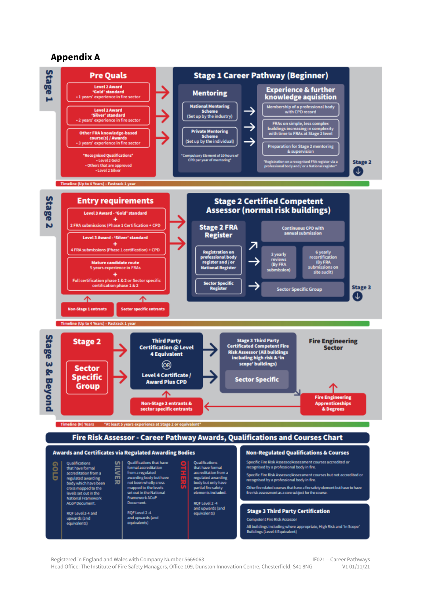#### **Appendix A**



Registered in England and Wales with Company Number 5669063 **IFO21** – Career Pathways Head Office: The Institute of Fire Safety Managers, Office 109, Dunston Innovation Centre, Chesterfield, S41 8NG V1 01/11/21